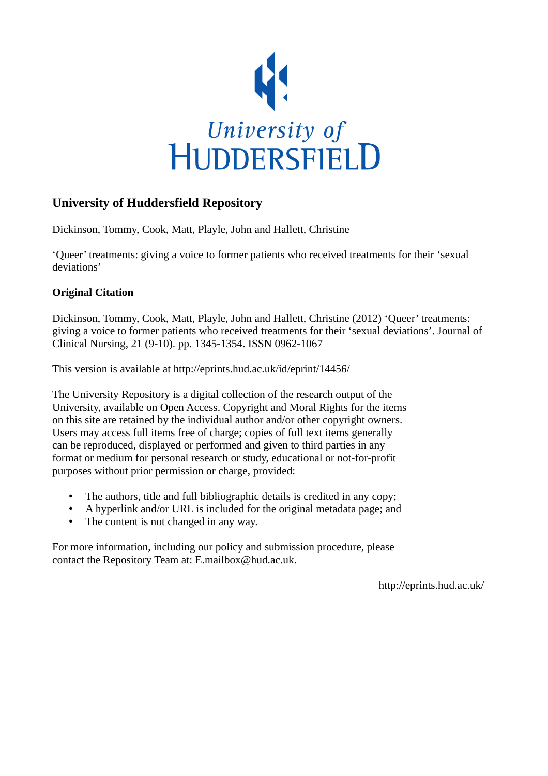

# **University of Huddersfield Repository**

Dickinson, Tommy, Cook, Matt, Playle, John and Hallett, Christine

'Queer' treatments: giving a voice to former patients who received treatments for their 'sexual deviations'

# **Original Citation**

Dickinson, Tommy, Cook, Matt, Playle, John and Hallett, Christine (2012) 'Queer' treatments: giving a voice to former patients who received treatments for their 'sexual deviations'. Journal of Clinical Nursing, 21 (9-10). pp. 1345-1354. ISSN 0962-1067

This version is available at http://eprints.hud.ac.uk/id/eprint/14456/

The University Repository is a digital collection of the research output of the University, available on Open Access. Copyright and Moral Rights for the items on this site are retained by the individual author and/or other copyright owners. Users may access full items free of charge; copies of full text items generally can be reproduced, displayed or performed and given to third parties in any format or medium for personal research or study, educational or not-for-profit purposes without prior permission or charge, provided:

- The authors, title and full bibliographic details is credited in any copy;
- A hyperlink and/or URL is included for the original metadata page; and
- The content is not changed in any way.

For more information, including our policy and submission procedure, please contact the Repository Team at: E.mailbox@hud.ac.uk.

http://eprints.hud.ac.uk/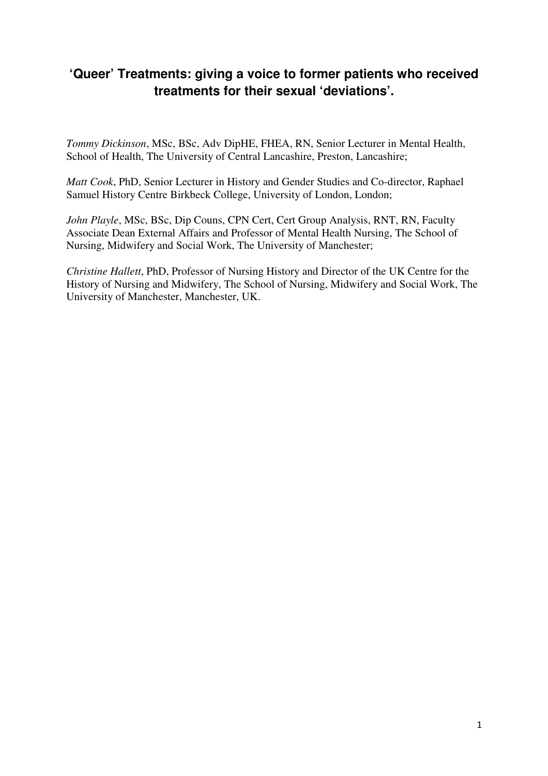# **'Queer' Treatments: giving a voice to former patients who received treatments for their sexual 'deviations'.**

*Tommy Dickinson*, MSc, BSc, Adv DipHE, FHEA, RN, Senior Lecturer in Mental Health, School of Health, The University of Central Lancashire, Preston, Lancashire;

*Matt Cook*, PhD, Senior Lecturer in History and Gender Studies and Co-director, Raphael Samuel History Centre Birkbeck College, University of London, London;

*John Playle*, MSc, BSc, Dip Couns, CPN Cert, Cert Group Analysis, RNT, RN, Faculty Associate Dean External Affairs and Professor of Mental Health Nursing, The School of Nursing, Midwifery and Social Work, The University of Manchester;

*Christine Hallett*, PhD, Professor of Nursing History and Director of the UK Centre for the History of Nursing and Midwifery, The School of Nursing, Midwifery and Social Work, The University of Manchester, Manchester, UK.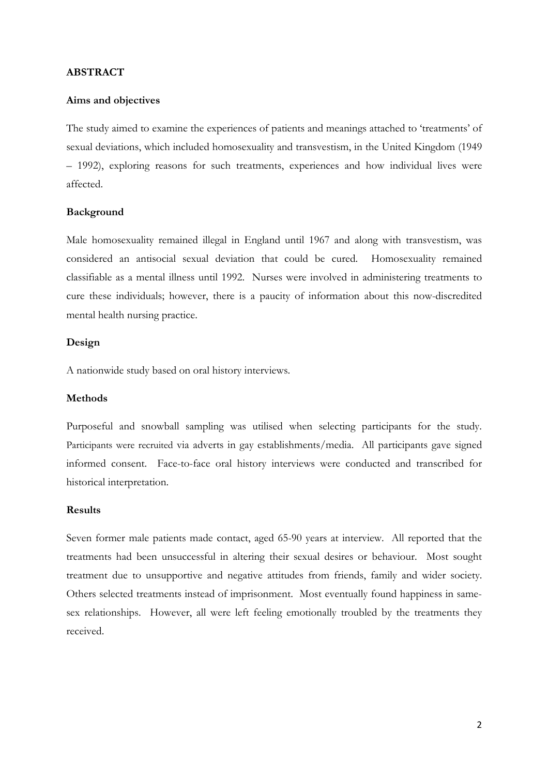## ABSTRACT

#### Aims and objectives

The study aimed to examine the experiences of patients and meanings attached to 'treatments' of sexual deviations, which included homosexuality and transvestism, in the United Kingdom (1949 – 1992), exploring reasons for such treatments, experiences and how individual lives were affected.

#### Background

Male homosexuality remained illegal in England until 1967 and along with transvestism, was considered an antisocial sexual deviation that could be cured. Homosexuality remained classifiable as a mental illness until 1992. Nurses were involved in administering treatments to cure these individuals; however, there is a paucity of information about this now-discredited mental health nursing practice.

#### Design

A nationwide study based on oral history interviews.

### Methods

Purposeful and snowball sampling was utilised when selecting participants for the study. Participants were recruited via adverts in gay establishments/media. All participants gave signed informed consent. Face-to-face oral history interviews were conducted and transcribed for historical interpretation.

# Results

Seven former male patients made contact, aged 65-90 years at interview. All reported that the treatments had been unsuccessful in altering their sexual desires or behaviour. Most sought treatment due to unsupportive and negative attitudes from friends, family and wider society. Others selected treatments instead of imprisonment. Most eventually found happiness in samesex relationships. However, all were left feeling emotionally troubled by the treatments they received.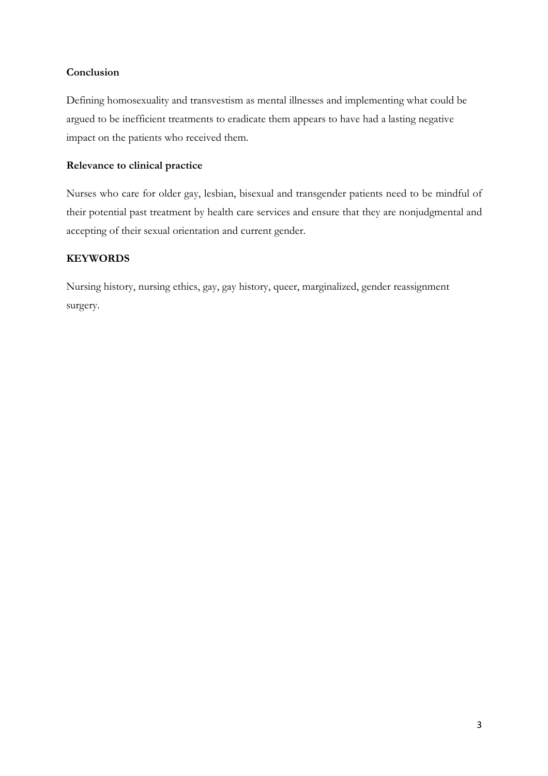# Conclusion

Defining homosexuality and transvestism as mental illnesses and implementing what could be argued to be inefficient treatments to eradicate them appears to have had a lasting negative impact on the patients who received them.

# Relevance to clinical practice

Nurses who care for older gay, lesbian, bisexual and transgender patients need to be mindful of their potential past treatment by health care services and ensure that they are nonjudgmental and accepting of their sexual orientation and current gender.

# **KEYWORDS**

Nursing history, nursing ethics, gay, gay history, queer, marginalized, gender reassignment surgery.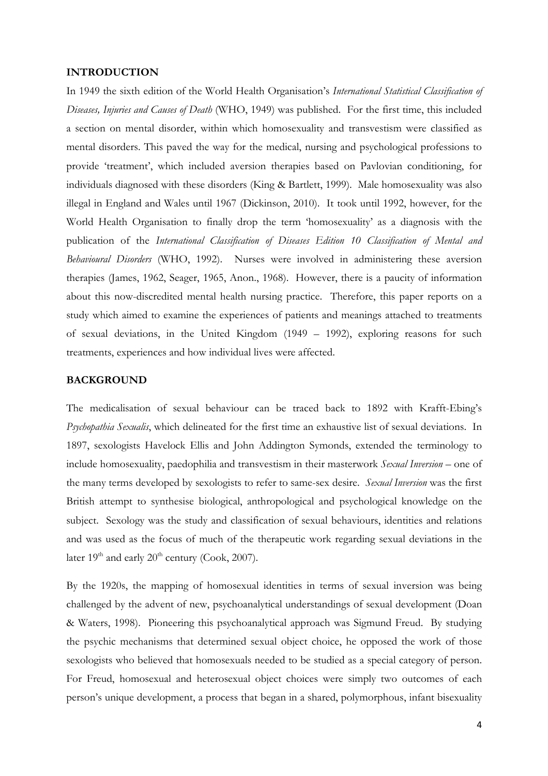#### INTRODUCTION

In 1949 the sixth edition of the World Health Organisation's International Statistical Classification of Diseases, Injuries and Causes of Death (WHO, 1949) was published. For the first time, this included a section on mental disorder, within which homosexuality and transvestism were classified as mental disorders. This paved the way for the medical, nursing and psychological professions to provide 'treatment', which included aversion therapies based on Pavlovian conditioning, for individuals diagnosed with these disorders (King & Bartlett, 1999). Male homosexuality was also illegal in England and Wales until 1967 (Dickinson, 2010). It took until 1992, however, for the World Health Organisation to finally drop the term 'homosexuality' as a diagnosis with the publication of the International Classification of Diseases Edition 10 Classification of Mental and Behavioural Disorders (WHO, 1992). Nurses were involved in administering these aversion therapies (James, 1962, Seager, 1965, Anon., 1968). However, there is a paucity of information about this now-discredited mental health nursing practice. Therefore, this paper reports on a study which aimed to examine the experiences of patients and meanings attached to treatments of sexual deviations, in the United Kingdom (1949 – 1992), exploring reasons for such treatments, experiences and how individual lives were affected.

# BACKGROUND

The medicalisation of sexual behaviour can be traced back to 1892 with Krafft-Ebing's Psychopathia Sexualis, which delineated for the first time an exhaustive list of sexual deviations. In 1897, sexologists Havelock Ellis and John Addington Symonds, extended the terminology to include homosexuality, paedophilia and transvestism in their masterwork Sexual Inversion – one of the many terms developed by sexologists to refer to same-sex desire. Sexual Inversion was the first British attempt to synthesise biological, anthropological and psychological knowledge on the subject. Sexology was the study and classification of sexual behaviours, identities and relations and was used as the focus of much of the therapeutic work regarding sexual deviations in the later  $19<sup>th</sup>$  and early  $20<sup>th</sup>$  century (Cook, 2007).

By the 1920s, the mapping of homosexual identities in terms of sexual inversion was being challenged by the advent of new, psychoanalytical understandings of sexual development (Doan & Waters, 1998). Pioneering this psychoanalytical approach was Sigmund Freud. By studying the psychic mechanisms that determined sexual object choice, he opposed the work of those sexologists who believed that homosexuals needed to be studied as a special category of person. For Freud, homosexual and heterosexual object choices were simply two outcomes of each person's unique development, a process that began in a shared, polymorphous, infant bisexuality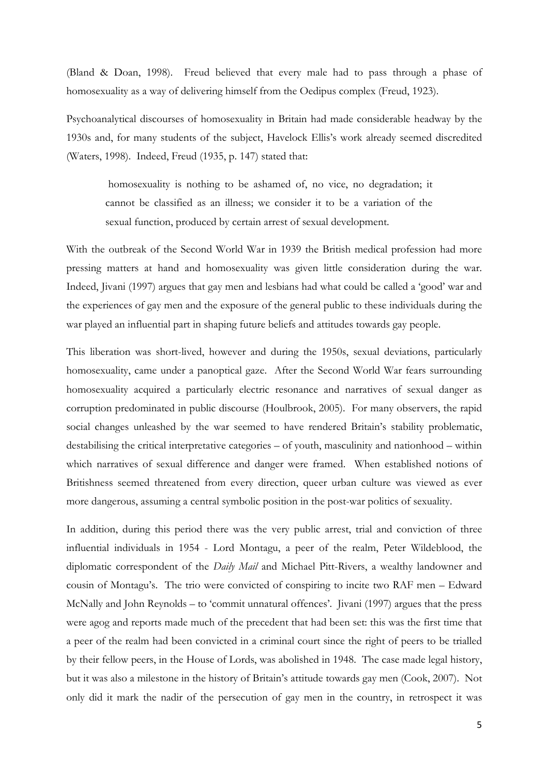(Bland & Doan, 1998). Freud believed that every male had to pass through a phase of homosexuality as a way of delivering himself from the Oedipus complex (Freud, 1923).

Psychoanalytical discourses of homosexuality in Britain had made considerable headway by the 1930s and, for many students of the subject, Havelock Ellis's work already seemed discredited (Waters, 1998). Indeed, Freud (1935, p. 147) stated that:

 homosexuality is nothing to be ashamed of, no vice, no degradation; it cannot be classified as an illness; we consider it to be a variation of the sexual function, produced by certain arrest of sexual development.

With the outbreak of the Second World War in 1939 the British medical profession had more pressing matters at hand and homosexuality was given little consideration during the war. Indeed, Jivani (1997) argues that gay men and lesbians had what could be called a 'good' war and the experiences of gay men and the exposure of the general public to these individuals during the war played an influential part in shaping future beliefs and attitudes towards gay people.

This liberation was short-lived, however and during the 1950s, sexual deviations, particularly homosexuality, came under a panoptical gaze. After the Second World War fears surrounding homosexuality acquired a particularly electric resonance and narratives of sexual danger as corruption predominated in public discourse (Houlbrook, 2005). For many observers, the rapid social changes unleashed by the war seemed to have rendered Britain's stability problematic, destabilising the critical interpretative categories – of youth, masculinity and nationhood – within which narratives of sexual difference and danger were framed. When established notions of Britishness seemed threatened from every direction, queer urban culture was viewed as ever more dangerous, assuming a central symbolic position in the post-war politics of sexuality.

In addition, during this period there was the very public arrest, trial and conviction of three influential individuals in 1954 - Lord Montagu, a peer of the realm, Peter Wildeblood, the diplomatic correspondent of the *Daily Mail* and Michael Pitt-Rivers, a wealthy landowner and cousin of Montagu's. The trio were convicted of conspiring to incite two RAF men – Edward McNally and John Reynolds – to 'commit unnatural offences'. Jivani (1997) argues that the press were agog and reports made much of the precedent that had been set: this was the first time that a peer of the realm had been convicted in a criminal court since the right of peers to be trialled by their fellow peers, in the House of Lords, was abolished in 1948. The case made legal history, but it was also a milestone in the history of Britain's attitude towards gay men (Cook, 2007). Not only did it mark the nadir of the persecution of gay men in the country, in retrospect it was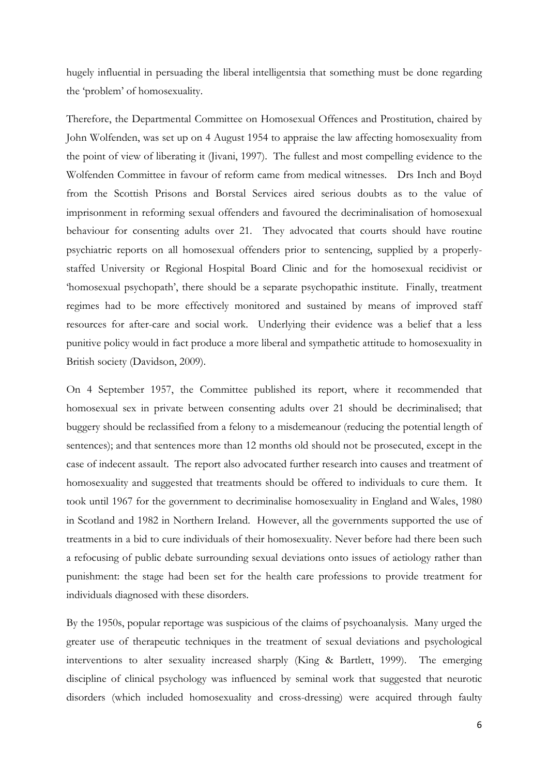hugely influential in persuading the liberal intelligentsia that something must be done regarding the 'problem' of homosexuality.

Therefore, the Departmental Committee on Homosexual Offences and Prostitution, chaired by John Wolfenden, was set up on 4 August 1954 to appraise the law affecting homosexuality from the point of view of liberating it (Jivani, 1997). The fullest and most compelling evidence to the Wolfenden Committee in favour of reform came from medical witnesses. Drs Inch and Boyd from the Scottish Prisons and Borstal Services aired serious doubts as to the value of imprisonment in reforming sexual offenders and favoured the decriminalisation of homosexual behaviour for consenting adults over 21. They advocated that courts should have routine psychiatric reports on all homosexual offenders prior to sentencing, supplied by a properlystaffed University or Regional Hospital Board Clinic and for the homosexual recidivist or 'homosexual psychopath', there should be a separate psychopathic institute. Finally, treatment regimes had to be more effectively monitored and sustained by means of improved staff resources for after-care and social work. Underlying their evidence was a belief that a less punitive policy would in fact produce a more liberal and sympathetic attitude to homosexuality in British society (Davidson, 2009).

On 4 September 1957, the Committee published its report, where it recommended that homosexual sex in private between consenting adults over 21 should be decriminalised; that buggery should be reclassified from a felony to a misdemeanour (reducing the potential length of sentences); and that sentences more than 12 months old should not be prosecuted, except in the case of indecent assault. The report also advocated further research into causes and treatment of homosexuality and suggested that treatments should be offered to individuals to cure them. It took until 1967 for the government to decriminalise homosexuality in England and Wales, 1980 in Scotland and 1982 in Northern Ireland. However, all the governments supported the use of treatments in a bid to cure individuals of their homosexuality. Never before had there been such a refocusing of public debate surrounding sexual deviations onto issues of aetiology rather than punishment: the stage had been set for the health care professions to provide treatment for individuals diagnosed with these disorders.

By the 1950s, popular reportage was suspicious of the claims of psychoanalysis. Many urged the greater use of therapeutic techniques in the treatment of sexual deviations and psychological interventions to alter sexuality increased sharply (King & Bartlett, 1999). The emerging discipline of clinical psychology was influenced by seminal work that suggested that neurotic disorders (which included homosexuality and cross-dressing) were acquired through faulty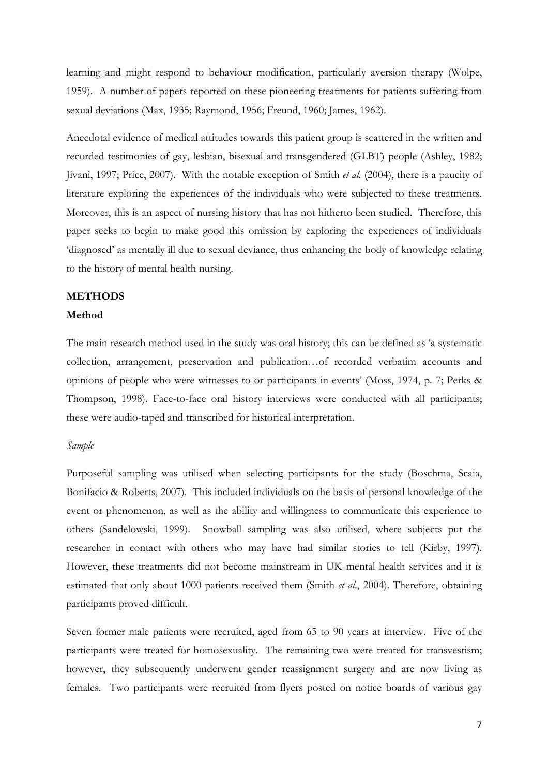learning and might respond to behaviour modification, particularly aversion therapy (Wolpe, 1959). A number of papers reported on these pioneering treatments for patients suffering from sexual deviations (Max, 1935; Raymond, 1956; Freund, 1960; James, 1962).

Anecdotal evidence of medical attitudes towards this patient group is scattered in the written and recorded testimonies of gay, lesbian, bisexual and transgendered (GLBT) people (Ashley, 1982; Jivani, 1997; Price, 2007). With the notable exception of Smith et al. (2004), there is a paucity of literature exploring the experiences of the individuals who were subjected to these treatments. Moreover, this is an aspect of nursing history that has not hitherto been studied. Therefore, this paper seeks to begin to make good this omission by exploring the experiences of individuals 'diagnosed' as mentally ill due to sexual deviance, thus enhancing the body of knowledge relating to the history of mental health nursing.

# METHODS

#### Method

The main research method used in the study was oral history; this can be defined as 'a systematic collection, arrangement, preservation and publication…of recorded verbatim accounts and opinions of people who were witnesses to or participants in events' (Moss, 1974, p. 7; Perks & Thompson, 1998). Face-to-face oral history interviews were conducted with all participants; these were audio-taped and transcribed for historical interpretation.

#### Sample

Purposeful sampling was utilised when selecting participants for the study (Boschma, Scaia, Bonifacio & Roberts, 2007). This included individuals on the basis of personal knowledge of the event or phenomenon, as well as the ability and willingness to communicate this experience to others (Sandelowski, 1999). Snowball sampling was also utilised, where subjects put the researcher in contact with others who may have had similar stories to tell (Kirby, 1997). However, these treatments did not become mainstream in UK mental health services and it is estimated that only about 1000 patients received them (Smith et al., 2004). Therefore, obtaining participants proved difficult.

Seven former male patients were recruited, aged from 65 to 90 years at interview. Five of the participants were treated for homosexuality. The remaining two were treated for transvestism; however, they subsequently underwent gender reassignment surgery and are now living as females. Two participants were recruited from flyers posted on notice boards of various gay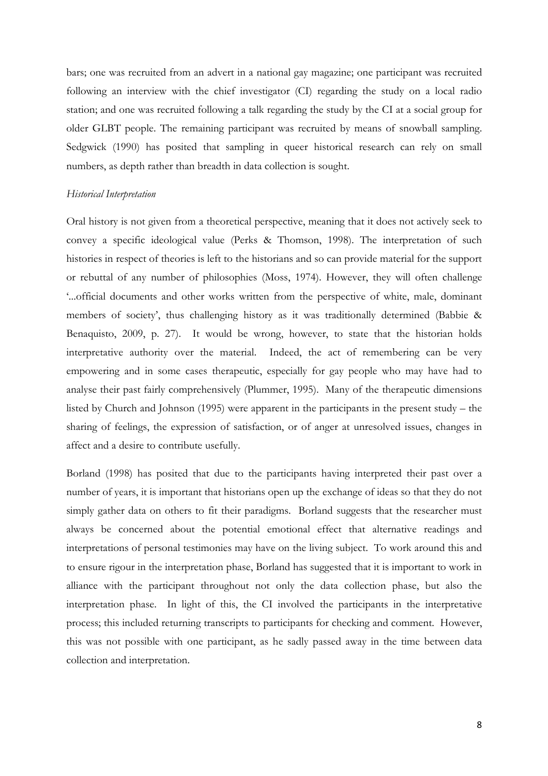bars; one was recruited from an advert in a national gay magazine; one participant was recruited following an interview with the chief investigator (CI) regarding the study on a local radio station; and one was recruited following a talk regarding the study by the CI at a social group for older GLBT people. The remaining participant was recruited by means of snowball sampling. Sedgwick (1990) has posited that sampling in queer historical research can rely on small numbers, as depth rather than breadth in data collection is sought.

#### Historical Interpretation

Oral history is not given from a theoretical perspective, meaning that it does not actively seek to convey a specific ideological value (Perks & Thomson, 1998). The interpretation of such histories in respect of theories is left to the historians and so can provide material for the support or rebuttal of any number of philosophies (Moss, 1974). However, they will often challenge '...official documents and other works written from the perspective of white, male, dominant members of society', thus challenging history as it was traditionally determined (Babbie & Benaquisto, 2009, p. 27). It would be wrong, however, to state that the historian holds interpretative authority over the material. Indeed, the act of remembering can be very empowering and in some cases therapeutic, especially for gay people who may have had to analyse their past fairly comprehensively (Plummer, 1995). Many of the therapeutic dimensions listed by Church and Johnson (1995) were apparent in the participants in the present study – the sharing of feelings, the expression of satisfaction, or of anger at unresolved issues, changes in affect and a desire to contribute usefully.

Borland (1998) has posited that due to the participants having interpreted their past over a number of years, it is important that historians open up the exchange of ideas so that they do not simply gather data on others to fit their paradigms. Borland suggests that the researcher must always be concerned about the potential emotional effect that alternative readings and interpretations of personal testimonies may have on the living subject. To work around this and to ensure rigour in the interpretation phase, Borland has suggested that it is important to work in alliance with the participant throughout not only the data collection phase, but also the interpretation phase. In light of this, the CI involved the participants in the interpretative process; this included returning transcripts to participants for checking and comment. However, this was not possible with one participant, as he sadly passed away in the time between data collection and interpretation.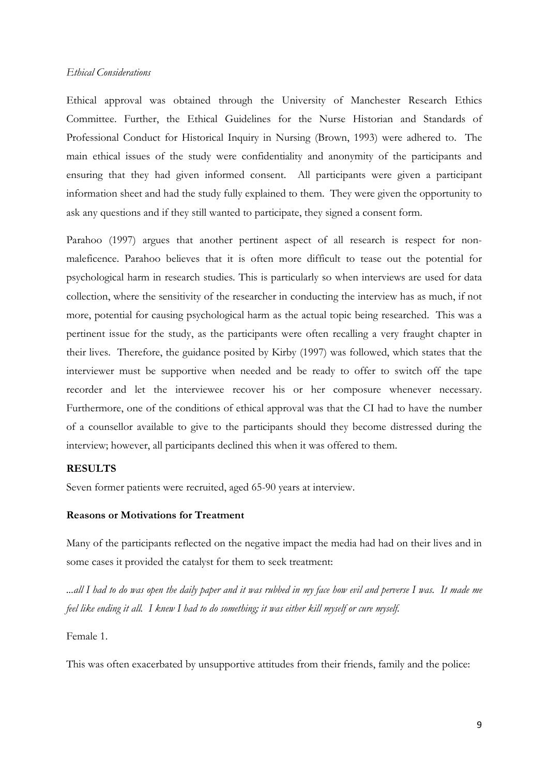# Ethical Considerations

Ethical approval was obtained through the University of Manchester Research Ethics Committee. Further, the Ethical Guidelines for the Nurse Historian and Standards of Professional Conduct for Historical Inquiry in Nursing (Brown, 1993) were adhered to. The main ethical issues of the study were confidentiality and anonymity of the participants and ensuring that they had given informed consent. All participants were given a participant information sheet and had the study fully explained to them. They were given the opportunity to ask any questions and if they still wanted to participate, they signed a consent form.

Parahoo (1997) argues that another pertinent aspect of all research is respect for nonmaleficence. Parahoo believes that it is often more difficult to tease out the potential for psychological harm in research studies. This is particularly so when interviews are used for data collection, where the sensitivity of the researcher in conducting the interview has as much, if not more, potential for causing psychological harm as the actual topic being researched. This was a pertinent issue for the study, as the participants were often recalling a very fraught chapter in their lives. Therefore, the guidance posited by Kirby (1997) was followed, which states that the interviewer must be supportive when needed and be ready to offer to switch off the tape recorder and let the interviewee recover his or her composure whenever necessary. Furthermore, one of the conditions of ethical approval was that the CI had to have the number of a counsellor available to give to the participants should they become distressed during the interview; however, all participants declined this when it was offered to them.

# RESULTS

Seven former patients were recruited, aged 65-90 years at interview.

# Reasons or Motivations for Treatment

Many of the participants reflected on the negative impact the media had had on their lives and in some cases it provided the catalyst for them to seek treatment:

...all I had to do was open the daily paper and it was rubbed in my face how evil and perverse I was. It made me feel like ending it all. I knew I had to do something; it was either kill myself or cure myself.

Female 1.

This was often exacerbated by unsupportive attitudes from their friends, family and the police: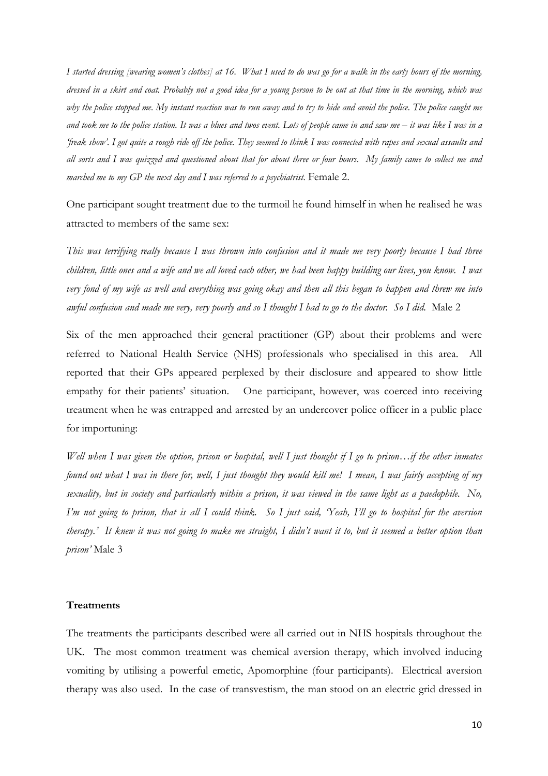I started dressing [wearing women's clothes] at 16. What I used to do was go for a walk in the early hours of the morning, dressed in a skirt and coat. Probably not a good idea for a young person to be out at that time in the morning, which was why the police stopped me. My instant reaction was to run away and to try to hide and avoid the police. The police caught me and took me to the police station. It was a blues and twos event. Lots of people came in and saw me  $-i$  twas like I was in a 'freak show'. I got quite a rough ride off the police. They seemed to think I was connected with rapes and sexual assaults and all sorts and I was quizzed and questioned about that for about three or four hours. My family came to collect me and marched me to my GP the next day and I was referred to a psychiatrist. Female 2.

One participant sought treatment due to the turmoil he found himself in when he realised he was attracted to members of the same sex:

This was terrifying really because I was thrown into confusion and it made me very poorly because I had three children, little ones and a wife and we all loved each other, we had been happy building our lives, you know. I was very fond of my wife as well and everything was going okay and then all this began to happen and threw me into awful confusion and made me very, very poorly and so I thought I had to go to the doctor. So I did. Male 2

Six of the men approached their general practitioner (GP) about their problems and were referred to National Health Service (NHS) professionals who specialised in this area. All reported that their GPs appeared perplexed by their disclosure and appeared to show little empathy for their patients' situation. One participant, however, was coerced into receiving treatment when he was entrapped and arrested by an undercover police officer in a public place for importuning:

Well when I was given the option, prison or hospital, well I just thought if I go to prison...if the other inmates found out what I was in there for, well, I just thought they would kill me! I mean, I was fairly accepting of my sexuality, but in society and particularly within a prison, it was viewed in the same light as a paedophile. No, I'm not going to prison, that is all I could think. So I just said, 'Yeah, I'll go to hospital for the aversion therapy.' It knew it was not going to make me straight, I didn't want it to, but it seemed a better option than prison' Male 3

# **Treatments**

The treatments the participants described were all carried out in NHS hospitals throughout the UK. The most common treatment was chemical aversion therapy, which involved inducing vomiting by utilising a powerful emetic, Apomorphine (four participants). Electrical aversion therapy was also used. In the case of transvestism, the man stood on an electric grid dressed in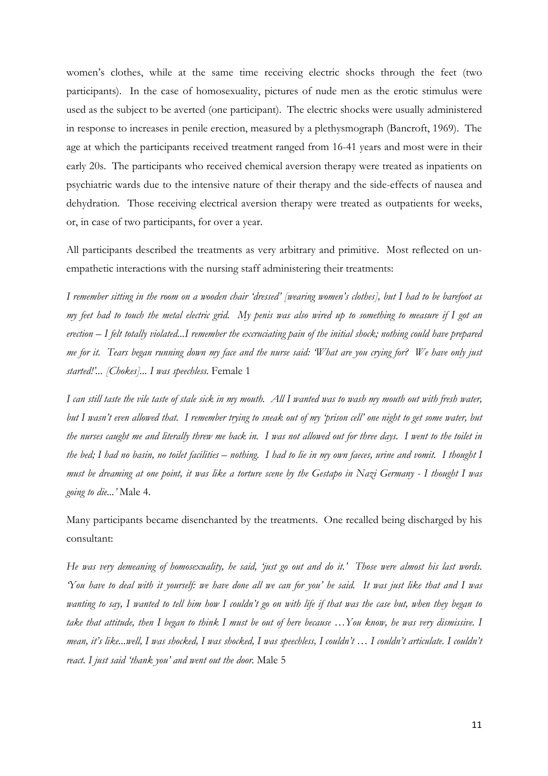women's clothes, while at the same time receiving electric shocks through the feet (two participants). In the case of homosexuality, pictures of nude men as the erotic stimulus were used as the subject to be averted (one participant). The electric shocks were usually administered in response to increases in penile erection, measured by a plethysmograph (Bancroft, 1969). The age at which the participants received treatment ranged from 16-41 years and most were in their early 20s. The participants who received chemical aversion therapy were treated as inpatients on psychiatric wards due to the intensive nature of their therapy and the side-effects of nausea and dehydration. Those receiving electrical aversion therapy were treated as outpatients for weeks, or, in case of two participants, for over a year.

All participants described the treatments as very arbitrary and primitive. Most reflected on unempathetic interactions with the nursing staff administering their treatments:

I remember sitting in the room on a wooden chair 'dressed' [wearing women's clothes], but I had to be barefoot as my feet had to touch the metal electric grid. My penis was also wired up to something to measure if I got an erection – I felt totally violated...I remember the excruciating pain of the initial shock; nothing could have prepared me for it. Tears began running down my face and the nurse said: 'What are you crying for? We have only just started!'... [Chokes]... I was speechless. Female 1

I can still taste the vile taste of stale sick in my mouth. All I wanted was to wash my mouth out with fresh water, but I wasn't even allowed that. I remember trying to sneak out of my 'prison cell' one night to get some water, but the nurses caught me and literally threw me back in. I was not allowed out for three days. I went to the toilet in the bed; I had no basin, no toilet facilities – nothing. I had to lie in my own faeces, urine and vomit. I thought I must be dreaming at one point, it was like a torture scene by the Gestapo in Nazi Germany - I thought I was going to die...' Male 4.

Many participants became disenchanted by the treatments. One recalled being discharged by his consultant:

He was very demeaning of homosexuality, he said, 'just go out and do it.' Those were almost his last words. 'You have to deal with it yourself: we have done all we can for you' he said. It was just like that and I was wanting to say, I wanted to tell him how I couldn't go on with life if that was the case but, when they began to take that attitude, then I began to think I must be out of here because …You know, he was very dismissive. I mean, it's like...well, I was shocked, I was shocked, I was speechless, I couldn't … I couldn't articulate. I couldn't react. I just said 'thank you' and went out the door. Male 5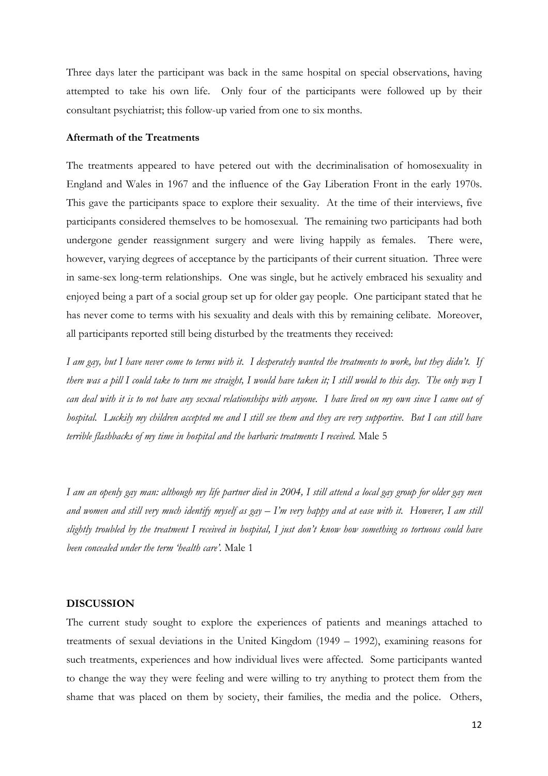Three days later the participant was back in the same hospital on special observations, having attempted to take his own life. Only four of the participants were followed up by their consultant psychiatrist; this follow-up varied from one to six months.

# Aftermath of the Treatments

The treatments appeared to have petered out with the decriminalisation of homosexuality in England and Wales in 1967 and the influence of the Gay Liberation Front in the early 1970s. This gave the participants space to explore their sexuality. At the time of their interviews, five participants considered themselves to be homosexual. The remaining two participants had both undergone gender reassignment surgery and were living happily as females. There were, however, varying degrees of acceptance by the participants of their current situation. Three were in same-sex long-term relationships. One was single, but he actively embraced his sexuality and enjoyed being a part of a social group set up for older gay people. One participant stated that he has never come to terms with his sexuality and deals with this by remaining celibate. Moreover, all participants reported still being disturbed by the treatments they received:

I am gay, but I have never come to terms with it. I desperately wanted the treatments to work, but they didn't. If there was a pill I could take to turn me straight, I would have taken it; I still would to this day. The only way I can deal with it is to not have any sexual relationships with anyone. I have lived on my own since I came out of hospital. Luckily my children accepted me and I still see them and they are very supportive. But I can still have terrible flashbacks of my time in hospital and the barbaric treatments I received. Male 5

I am an openly gay man: although my life partner died in 2004, I still attend a local gay group for older gay men and women and still very much identify myself as gay  $-$  I'm very happy and at ease with it. However, I am still slightly troubled by the treatment I received in hospital, I just don't know how something so tortuous could have been concealed under the term 'health care'. Male 1

## **DISCUSSION**

The current study sought to explore the experiences of patients and meanings attached to treatments of sexual deviations in the United Kingdom (1949 – 1992), examining reasons for such treatments, experiences and how individual lives were affected. Some participants wanted to change the way they were feeling and were willing to try anything to protect them from the shame that was placed on them by society, their families, the media and the police. Others,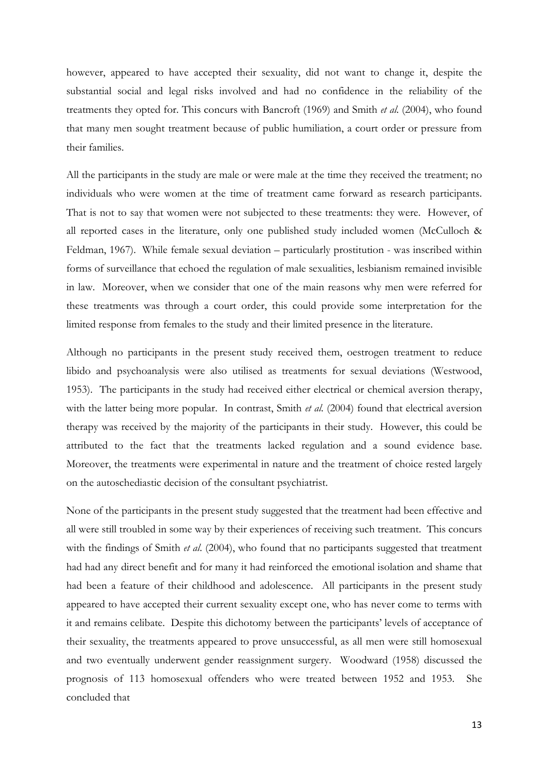however, appeared to have accepted their sexuality, did not want to change it, despite the substantial social and legal risks involved and had no confidence in the reliability of the treatments they opted for. This concurs with Bancroft (1969) and Smith et al. (2004), who found that many men sought treatment because of public humiliation, a court order or pressure from their families.

All the participants in the study are male or were male at the time they received the treatment; no individuals who were women at the time of treatment came forward as research participants. That is not to say that women were not subjected to these treatments: they were. However, of all reported cases in the literature, only one published study included women (McCulloch & Feldman, 1967). While female sexual deviation – particularly prostitution - was inscribed within forms of surveillance that echoed the regulation of male sexualities, lesbianism remained invisible in law. Moreover, when we consider that one of the main reasons why men were referred for these treatments was through a court order, this could provide some interpretation for the limited response from females to the study and their limited presence in the literature.

Although no participants in the present study received them, oestrogen treatment to reduce libido and psychoanalysis were also utilised as treatments for sexual deviations (Westwood, 1953). The participants in the study had received either electrical or chemical aversion therapy, with the latter being more popular. In contrast, Smith *et al.* (2004) found that electrical aversion therapy was received by the majority of the participants in their study. However, this could be attributed to the fact that the treatments lacked regulation and a sound evidence base. Moreover, the treatments were experimental in nature and the treatment of choice rested largely on the autoschediastic decision of the consultant psychiatrist.

None of the participants in the present study suggested that the treatment had been effective and all were still troubled in some way by their experiences of receiving such treatment. This concurs with the findings of Smith et al. (2004), who found that no participants suggested that treatment had had any direct benefit and for many it had reinforced the emotional isolation and shame that had been a feature of their childhood and adolescence. All participants in the present study appeared to have accepted their current sexuality except one, who has never come to terms with it and remains celibate. Despite this dichotomy between the participants' levels of acceptance of their sexuality, the treatments appeared to prove unsuccessful, as all men were still homosexual and two eventually underwent gender reassignment surgery. Woodward (1958) discussed the prognosis of 113 homosexual offenders who were treated between 1952 and 1953. She concluded that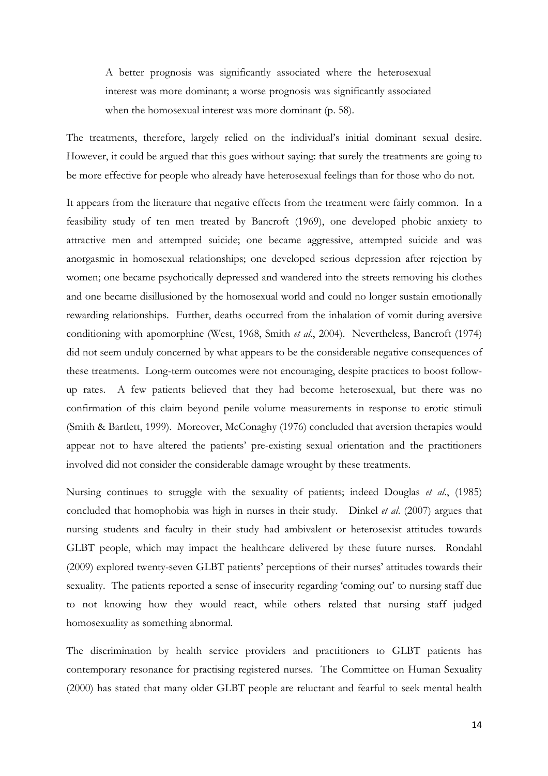A better prognosis was significantly associated where the heterosexual interest was more dominant; a worse prognosis was significantly associated when the homosexual interest was more dominant (p. 58).

The treatments, therefore, largely relied on the individual's initial dominant sexual desire. However, it could be argued that this goes without saying: that surely the treatments are going to be more effective for people who already have heterosexual feelings than for those who do not.

It appears from the literature that negative effects from the treatment were fairly common. In a feasibility study of ten men treated by Bancroft (1969), one developed phobic anxiety to attractive men and attempted suicide; one became aggressive, attempted suicide and was anorgasmic in homosexual relationships; one developed serious depression after rejection by women; one became psychotically depressed and wandered into the streets removing his clothes and one became disillusioned by the homosexual world and could no longer sustain emotionally rewarding relationships. Further, deaths occurred from the inhalation of vomit during aversive conditioning with apomorphine (West, 1968, Smith et al., 2004). Nevertheless, Bancroft (1974) did not seem unduly concerned by what appears to be the considerable negative consequences of these treatments. Long-term outcomes were not encouraging, despite practices to boost followup rates. A few patients believed that they had become heterosexual, but there was no confirmation of this claim beyond penile volume measurements in response to erotic stimuli (Smith & Bartlett, 1999). Moreover, McConaghy (1976) concluded that aversion therapies would appear not to have altered the patients' pre-existing sexual orientation and the practitioners involved did not consider the considerable damage wrought by these treatments.

Nursing continues to struggle with the sexuality of patients; indeed Douglas et al., (1985) concluded that homophobia was high in nurses in their study. Dinkel et al. (2007) argues that nursing students and faculty in their study had ambivalent or heterosexist attitudes towards GLBT people, which may impact the healthcare delivered by these future nurses. Rondahl (2009) explored twenty-seven GLBT patients' perceptions of their nurses' attitudes towards their sexuality. The patients reported a sense of insecurity regarding 'coming out' to nursing staff due to not knowing how they would react, while others related that nursing staff judged homosexuality as something abnormal.

The discrimination by health service providers and practitioners to GLBT patients has contemporary resonance for practising registered nurses. The Committee on Human Sexuality (2000) has stated that many older GLBT people are reluctant and fearful to seek mental health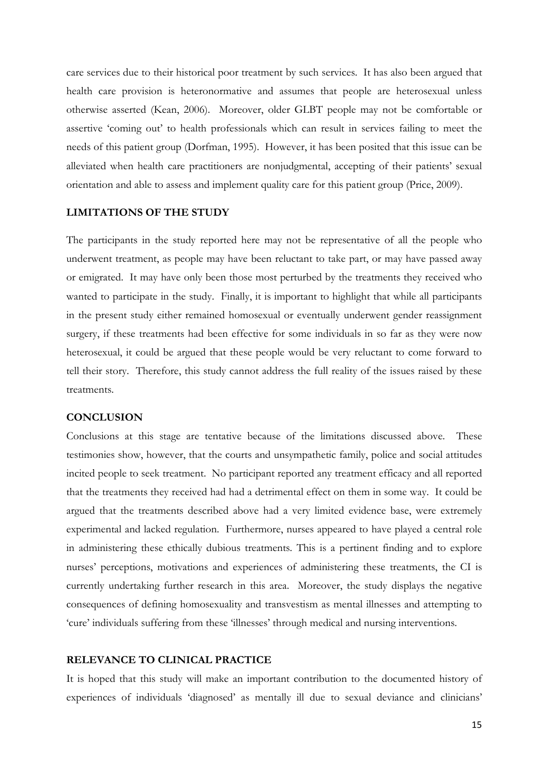care services due to their historical poor treatment by such services. It has also been argued that health care provision is heteronormative and assumes that people are heterosexual unless otherwise asserted (Kean, 2006). Moreover, older GLBT people may not be comfortable or assertive 'coming out' to health professionals which can result in services failing to meet the needs of this patient group (Dorfman, 1995). However, it has been posited that this issue can be alleviated when health care practitioners are nonjudgmental, accepting of their patients' sexual orientation and able to assess and implement quality care for this patient group (Price, 2009).

# LIMITATIONS OF THE STUDY

The participants in the study reported here may not be representative of all the people who underwent treatment, as people may have been reluctant to take part, or may have passed away or emigrated. It may have only been those most perturbed by the treatments they received who wanted to participate in the study. Finally, it is important to highlight that while all participants in the present study either remained homosexual or eventually underwent gender reassignment surgery, if these treatments had been effective for some individuals in so far as they were now heterosexual, it could be argued that these people would be very reluctant to come forward to tell their story. Therefore, this study cannot address the full reality of the issues raised by these treatments.

# **CONCLUSION**

Conclusions at this stage are tentative because of the limitations discussed above. These testimonies show, however, that the courts and unsympathetic family, police and social attitudes incited people to seek treatment. No participant reported any treatment efficacy and all reported that the treatments they received had had a detrimental effect on them in some way. It could be argued that the treatments described above had a very limited evidence base, were extremely experimental and lacked regulation. Furthermore, nurses appeared to have played a central role in administering these ethically dubious treatments. This is a pertinent finding and to explore nurses' perceptions, motivations and experiences of administering these treatments, the CI is currently undertaking further research in this area. Moreover, the study displays the negative consequences of defining homosexuality and transvestism as mental illnesses and attempting to 'cure' individuals suffering from these 'illnesses' through medical and nursing interventions.

# RELEVANCE TO CLINICAL PRACTICE

It is hoped that this study will make an important contribution to the documented history of experiences of individuals 'diagnosed' as mentally ill due to sexual deviance and clinicians'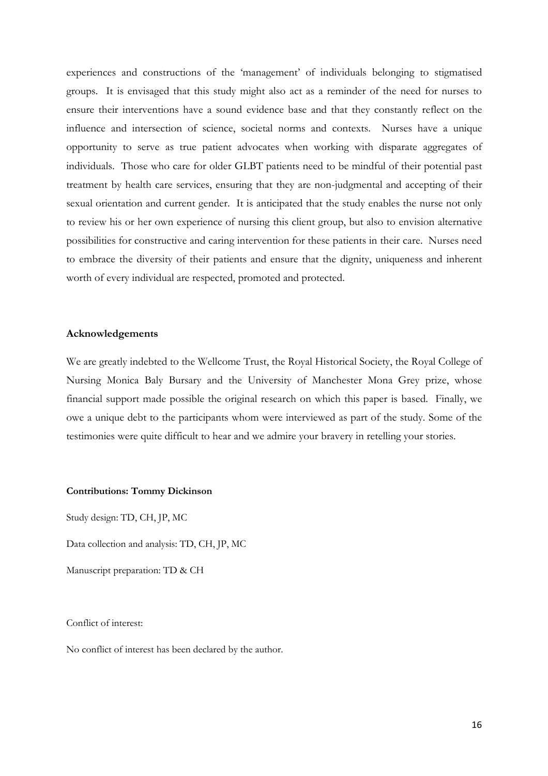experiences and constructions of the 'management' of individuals belonging to stigmatised groups. It is envisaged that this study might also act as a reminder of the need for nurses to ensure their interventions have a sound evidence base and that they constantly reflect on the influence and intersection of science, societal norms and contexts. Nurses have a unique opportunity to serve as true patient advocates when working with disparate aggregates of individuals. Those who care for older GLBT patients need to be mindful of their potential past treatment by health care services, ensuring that they are non-judgmental and accepting of their sexual orientation and current gender. It is anticipated that the study enables the nurse not only to review his or her own experience of nursing this client group, but also to envision alternative possibilities for constructive and caring intervention for these patients in their care. Nurses need to embrace the diversity of their patients and ensure that the dignity, uniqueness and inherent worth of every individual are respected, promoted and protected.

#### Acknowledgements

We are greatly indebted to the Wellcome Trust, the Royal Historical Society, the Royal College of Nursing Monica Baly Bursary and the University of Manchester Mona Grey prize, whose financial support made possible the original research on which this paper is based. Finally, we owe a unique debt to the participants whom were interviewed as part of the study. Some of the testimonies were quite difficult to hear and we admire your bravery in retelling your stories.

#### Contributions: Tommy Dickinson

Study design: TD, CH, JP, MC

Data collection and analysis: TD, CH, JP, MC

Manuscript preparation: TD & CH

Conflict of interest:

No conflict of interest has been declared by the author.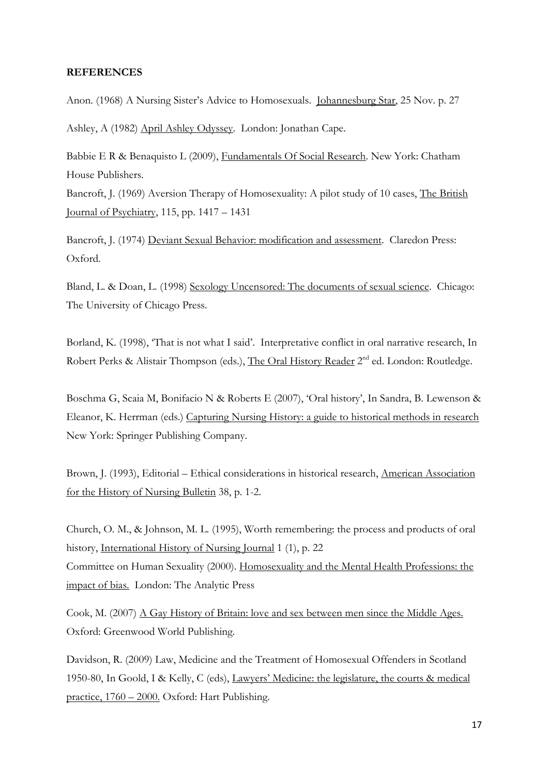# REFERENCES

Anon. (1968) A Nursing Sister's Advice to Homosexuals. Johannesburg Star, 25 Nov. p. 27 Ashley, A (1982) April Ashley Odyssey. London: Jonathan Cape.

Babbie E R & Benaquisto L (2009), Fundamentals Of Social Research. New York: Chatham House Publishers. Bancroft, J. (1969) Aversion Therapy of Homosexuality: A pilot study of 10 cases, The British

Journal of Psychiatry, 115, pp. 1417 – 1431

Bancroft, J. (1974) Deviant Sexual Behavior: modification and assessment. Claredon Press: Oxford.

Bland, L. & Doan, L. (1998) Sexology Uncensored: The documents of sexual science. Chicago: The University of Chicago Press.

Borland, K. (1998), 'That is not what I said'. Interpretative conflict in oral narrative research, In Robert Perks & Alistair Thompson (eds.), The Oral History Reader 2<sup>nd</sup> ed. London: Routledge.

Boschma G, Scaia M, Bonifacio N & Roberts E (2007), 'Oral history', In Sandra, B. Lewenson & Eleanor, K. Herrman (eds.) Capturing Nursing History: a guide to historical methods in research New York: Springer Publishing Company.

Brown, J. (1993), Editorial – Ethical considerations in historical research, American Association for the History of Nursing Bulletin 38, p. 1-2.

Church, O. M., & Johnson, M. L. (1995), Worth remembering: the process and products of oral history, International History of Nursing Journal 1 (1), p. 22 Committee on Human Sexuality (2000). Homosexuality and the Mental Health Professions: the impact of bias. London: The Analytic Press

Cook, M. (2007) A Gay History of Britain: love and sex between men since the Middle Ages. Oxford: Greenwood World Publishing.

Davidson, R. (2009) Law, Medicine and the Treatment of Homosexual Offenders in Scotland 1950-80, In Goold, I & Kelly, C (eds), Lawyers' Medicine: the legislature, the courts & medical practice, 1760 – 2000. Oxford: Hart Publishing.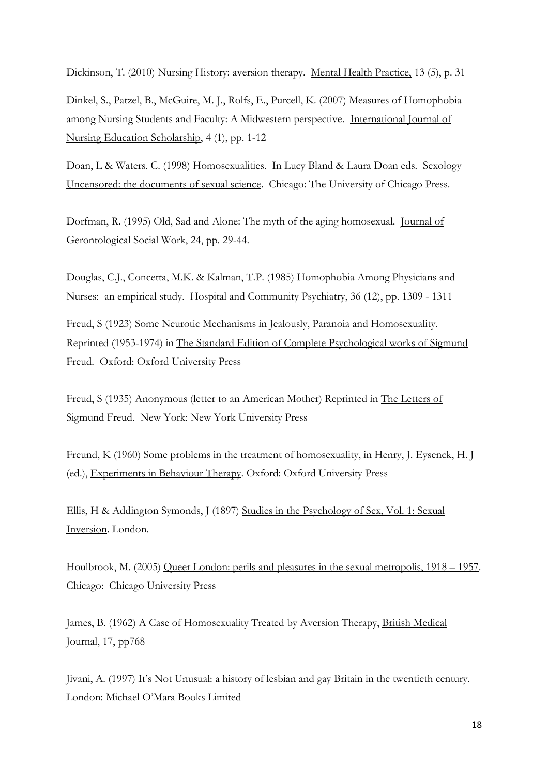Dickinson, T. (2010) Nursing History: aversion therapy. Mental Health Practice, 13 (5), p. 31

Dinkel, S., Patzel, B., McGuire, M. J., Rolfs, E., Purcell, K. (2007) Measures of Homophobia among Nursing Students and Faculty: A Midwestern perspective. International Journal of Nursing Education Scholarship, 4 (1), pp. 1-12

Doan, L & Waters. C. (1998) Homosexualities. In Lucy Bland & Laura Doan eds. Sexology Uncensored: the documents of sexual science. Chicago: The University of Chicago Press.

Dorfman, R. (1995) Old, Sad and Alone: The myth of the aging homosexual. Journal of Gerontological Social Work, 24, pp. 29-44.

Douglas, C.J., Concetta, M.K. & Kalman, T.P. (1985) Homophobia Among Physicians and Nurses: an empirical study. Hospital and Community Psychiatry, 36 (12), pp. 1309 - 1311

Freud, S (1923) Some Neurotic Mechanisms in Jealously, Paranoia and Homosexuality. Reprinted (1953-1974) in The Standard Edition of Complete Psychological works of Sigmund Freud. Oxford: Oxford University Press

Freud, S (1935) Anonymous (letter to an American Mother) Reprinted in The Letters of Sigmund Freud. New York: New York University Press

Freund, K (1960) Some problems in the treatment of homosexuality, in Henry, J. Eysenck, H. J (ed.), Experiments in Behaviour Therapy. Oxford: Oxford University Press

Ellis, H & Addington Symonds, J (1897) Studies in the Psychology of Sex, Vol. 1: Sexual Inversion. London.

Houlbrook, M. (2005) Queer London: perils and pleasures in the sexual metropolis, 1918 – 1957. Chicago: Chicago University Press

James, B. (1962) A Case of Homosexuality Treated by Aversion Therapy, British Medical Journal, 17, pp768

Jivani, A. (1997) It's Not Unusual: a history of lesbian and gay Britain in the twentieth century. London: Michael O'Mara Books Limited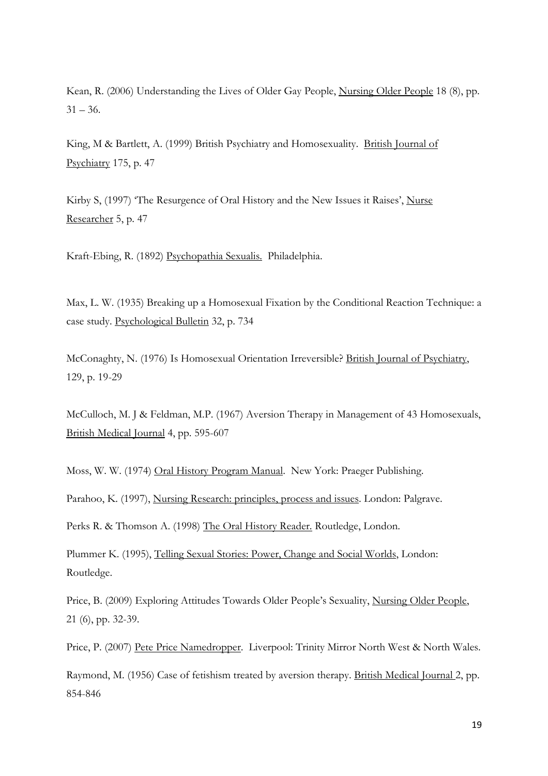Kean, R. (2006) Understanding the Lives of Older Gay People, Nursing Older People 18 (8), pp.  $31 - 36.$ 

King, M & Bartlett, A. (1999) British Psychiatry and Homosexuality. British Journal of Psychiatry 175, p. 47

Kirby S, (1997) 'The Resurgence of Oral History and the New Issues it Raises', Nurse Researcher 5, p. 47

Kraft-Ebing, R. (1892) Psychopathia Sexualis. Philadelphia.

Max, L. W. (1935) Breaking up a Homosexual Fixation by the Conditional Reaction Technique: a case study. Psychological Bulletin 32, p. 734

McConaghty, N. (1976) Is Homosexual Orientation Irreversible? British Journal of Psychiatry, 129, p. 19-29

McCulloch, M. J & Feldman, M.P. (1967) Aversion Therapy in Management of 43 Homosexuals, British Medical Journal 4, pp. 595-607

Moss, W. W. (1974) Oral History Program Manual. New York: Praeger Publishing.

Parahoo, K. (1997), Nursing Research: principles, process and issues. London: Palgrave.

Perks R. & Thomson A. (1998) The Oral History Reader. Routledge, London.

Plummer K. (1995), Telling Sexual Stories: Power, Change and Social Worlds, London: Routledge.

Price, B. (2009) Exploring Attitudes Towards Older People's Sexuality, Nursing Older People, 21 (6), pp. 32-39.

Price, P. (2007) Pete Price Namedropper. Liverpool: Trinity Mirror North West & North Wales.

Raymond, M. (1956) Case of fetishism treated by aversion therapy. British Medical Journal 2, pp. 854-846